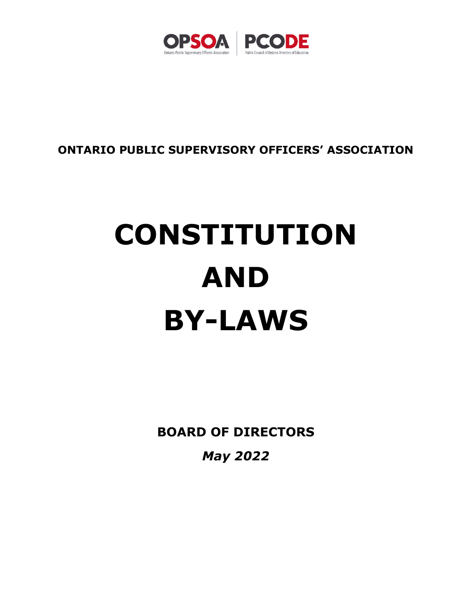

## **ONTARIO PUBLIC SUPERVISORY OFFICERS' ASSOCIATION**

# **CONSTITUTION AND BY-LAWS**

**BOARD OF DIRECTORS**

*May 2022*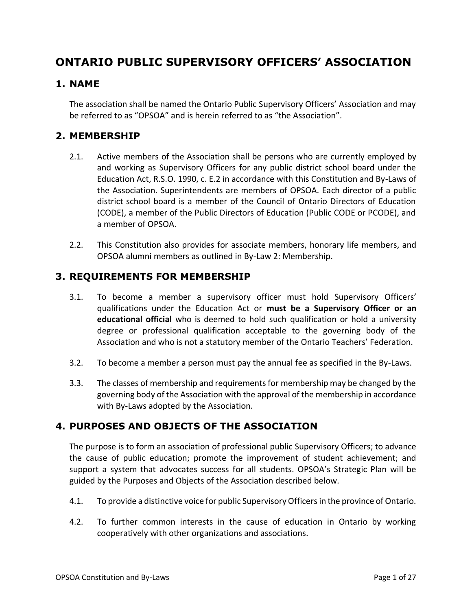## **ONTARIO PUBLIC SUPERVISORY OFFICERS' ASSOCIATION**

#### **1. NAME**

The association shall be named the Ontario Public Supervisory Officers' Association and may be referred to as "OPSOA" and is herein referred to as "the Association".

#### **2. MEMBERSHIP**

- 2.1. Active members of the Association shall be persons who are currently employed by and working as Supervisory Officers for any public district school board under the Education Act, R.S.O. 1990, c. E.2 in accordance with this Constitution and By-Laws of the Association. Superintendents are members of OPSOA. Each director of a public district school board is a member of the Council of Ontario Directors of Education (CODE), a member of the Public Directors of Education (Public CODE or PCODE), and a member of OPSOA.
- 2.2. This Constitution also provides for associate members, honorary life members, and OPSOA alumni members as outlined in By-Law 2: Membership.

#### **3. REQUIREMENTS FOR MEMBERSHIP**

- 3.1. To become a member a supervisory officer must hold Supervisory Officers' qualifications under the Education Act or **must be a Supervisory Officer or an educational official** who is deemed to hold such qualification or hold a university degree or professional qualification acceptable to the governing body of the Association and who is not a statutory member of the Ontario Teachers' Federation.
- 3.2. To become a member a person must pay the annual fee as specified in the By-Laws.
- 3.3. The classes of membership and requirements for membership may be changed by the governing body of the Association with the approval of the membership in accordance with By-Laws adopted by the Association.

#### **4. PURPOSES AND OBJECTS OF THE ASSOCIATION**

The purpose is to form an association of professional public Supervisory Officers; to advance the cause of public education; promote the improvement of student achievement; and support a system that advocates success for all students. OPSOA's Strategic Plan will be guided by the Purposes and Objects of the Association described below.

- 4.1. To provide a distinctive voice for public Supervisory Officersin the province of Ontario.
- 4.2. To further common interests in the cause of education in Ontario by working cooperatively with other organizations and associations.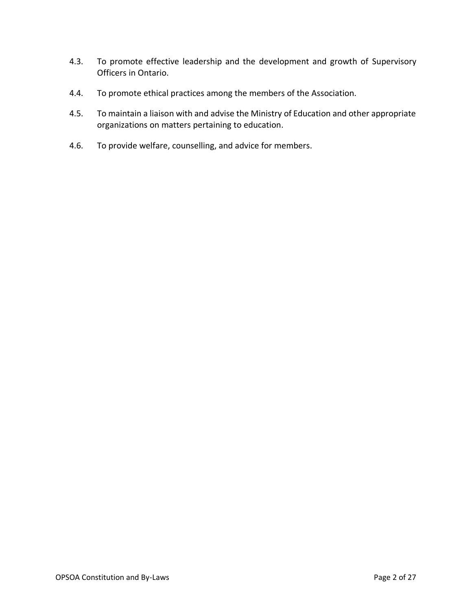- 4.3. To promote effective leadership and the development and growth of Supervisory Officers in Ontario.
- 4.4. To promote ethical practices among the members of the Association.
- 4.5. To maintain a liaison with and advise the Ministry of Education and other appropriate organizations on matters pertaining to education.
- 4.6. To provide welfare, counselling, and advice for members.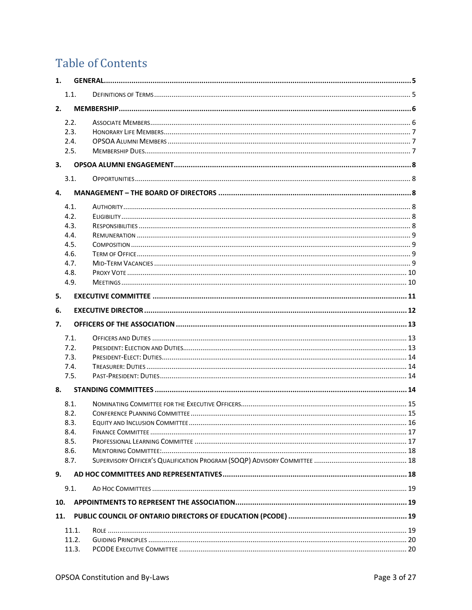## **Table of Contents**

| 1.  |                      |  |  |  |  |  |
|-----|----------------------|--|--|--|--|--|
|     | 1.1.                 |  |  |  |  |  |
| 2.  |                      |  |  |  |  |  |
|     | 2.2.<br>2.3.<br>2.4. |  |  |  |  |  |
|     | 2.5.                 |  |  |  |  |  |
| 3.  |                      |  |  |  |  |  |
|     | 3.1.                 |  |  |  |  |  |
| 4.  |                      |  |  |  |  |  |
|     |                      |  |  |  |  |  |
|     | 4.1.                 |  |  |  |  |  |
|     | 4.2.                 |  |  |  |  |  |
|     | 4.3.                 |  |  |  |  |  |
|     | 4.4.                 |  |  |  |  |  |
|     | 4.5.                 |  |  |  |  |  |
|     | 4.6.                 |  |  |  |  |  |
|     | 4.7.                 |  |  |  |  |  |
|     | 4.8.<br>4.9.         |  |  |  |  |  |
|     |                      |  |  |  |  |  |
| 5.  |                      |  |  |  |  |  |
| 6.  |                      |  |  |  |  |  |
| 7.  |                      |  |  |  |  |  |
|     | 7.1.                 |  |  |  |  |  |
|     | 7.2.                 |  |  |  |  |  |
|     | 7.3.                 |  |  |  |  |  |
|     | 7.4.                 |  |  |  |  |  |
|     | 7.5.                 |  |  |  |  |  |
| 8.  |                      |  |  |  |  |  |
|     | 8.1.                 |  |  |  |  |  |
|     | 8.2.                 |  |  |  |  |  |
|     | 8.3.                 |  |  |  |  |  |
|     | 8.4.                 |  |  |  |  |  |
|     | 8.5.                 |  |  |  |  |  |
|     | 8.6.                 |  |  |  |  |  |
|     | 8.7.                 |  |  |  |  |  |
| 9.  |                      |  |  |  |  |  |
|     | 9.1.                 |  |  |  |  |  |
|     |                      |  |  |  |  |  |
|     |                      |  |  |  |  |  |
| 10. |                      |  |  |  |  |  |
| 11. |                      |  |  |  |  |  |
|     | 11.1.                |  |  |  |  |  |
|     | 11.2.<br>11.3.       |  |  |  |  |  |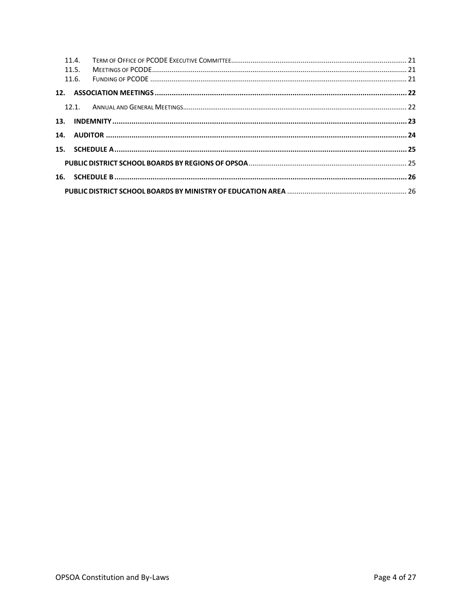| 11.4.<br>11.5. |  |
|----------------|--|
| 11.6.          |  |
|                |  |
|                |  |
|                |  |
|                |  |
|                |  |
|                |  |
|                |  |
|                |  |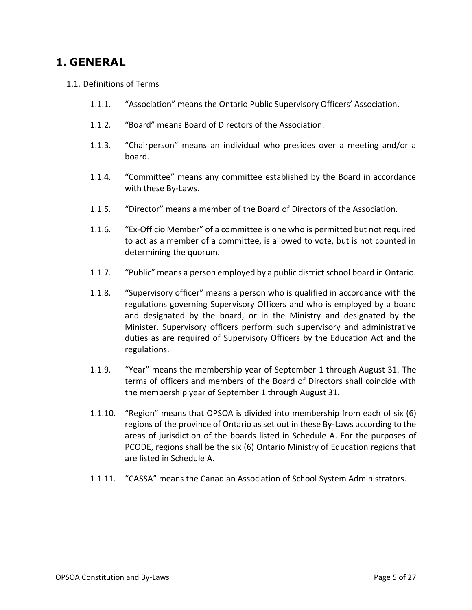## <span id="page-5-0"></span>**1. GENERAL**

- <span id="page-5-1"></span>1.1. Definitions of Terms
	- 1.1.1. "Association" means the Ontario Public Supervisory Officers' Association.
	- 1.1.2. "Board" means Board of Directors of the Association.
	- 1.1.3. "Chairperson" means an individual who presides over a meeting and/or a board.
	- 1.1.4. "Committee" means any committee established by the Board in accordance with these By-Laws.
	- 1.1.5. "Director" means a member of the Board of Directors of the Association.
	- 1.1.6. "Ex-Officio Member" of a committee is one who is permitted but not required to act as a member of a committee, is allowed to vote, but is not counted in determining the quorum.
	- 1.1.7. "Public" means a person employed by a public district school board in Ontario.
	- 1.1.8. "Supervisory officer" means a person who is qualified in accordance with the regulations governing Supervisory Officers and who is employed by a board and designated by the board, or in the Ministry and designated by the Minister. Supervisory officers perform such supervisory and administrative duties as are required of Supervisory Officers by the Education Act and the regulations.
	- 1.1.9. "Year" means the membership year of September 1 through August 31. The terms of officers and members of the Board of Directors shall coincide with the membership year of September 1 through August 31.
	- 1.1.10. "Region" means that OPSOA is divided into membership from each of six (6) regions of the province of Ontario as set out in these By-Laws according to the areas of jurisdiction of the boards listed in Schedule A. For the purposes of PCODE, regions shall be the six (6) Ontario Ministry of Education regions that are listed in Schedule A.
	- 1.1.11. "CASSA" means the Canadian Association of School System Administrators.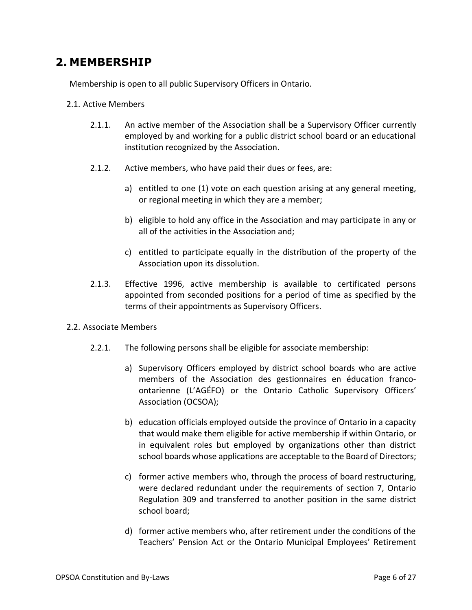## <span id="page-6-0"></span>**2. MEMBERSHIP**

Membership is open to all public Supervisory Officers in Ontario.

- 2.1. Active Members
	- 2.1.1. An active member of the Association shall be a Supervisory Officer currently employed by and working for a public district school board or an educational institution recognized by the Association.
	- 2.1.2. Active members, who have paid their dues or fees, are:
		- a) entitled to one (1) vote on each question arising at any general meeting, or regional meeting in which they are a member;
		- b) eligible to hold any office in the Association and may participate in any or all of the activities in the Association and;
		- c) entitled to participate equally in the distribution of the property of the Association upon its dissolution.
	- 2.1.3. Effective 1996, active membership is available to certificated persons appointed from seconded positions for a period of time as specified by the terms of their appointments as Supervisory Officers.
- <span id="page-6-1"></span>2.2. Associate Members
	- 2.2.1. The following persons shall be eligible for associate membership:
		- a) Supervisory Officers employed by district school boards who are active members of the Association des gestionnaires en éducation francoontarienne (L'AGÉFO) or the Ontario Catholic Supervisory Officers' Association (OCSOA);
		- b) education officials employed outside the province of Ontario in a capacity that would make them eligible for active membership if within Ontario, or in equivalent roles but employed by organizations other than district school boards whose applications are acceptable to the Board of Directors;
		- c) former active members who, through the process of board restructuring, were declared redundant under the requirements of section 7, Ontario Regulation 309 and transferred to another position in the same district school board;
		- d) former active members who, after retirement under the conditions of the Teachers' Pension Act or the Ontario Municipal Employees' Retirement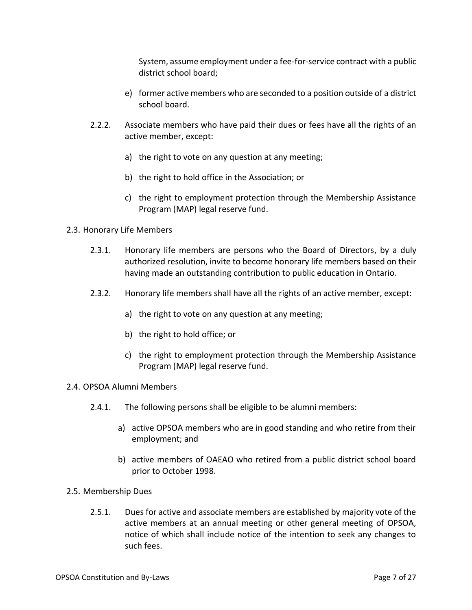System, assume employment under a fee-for-service contract with a public district school board;

- e) former active members who are seconded to a position outside of a district school board.
- 2.2.2. Associate members who have paid their dues or fees have all the rights of an active member, except:
	- a) the right to vote on any question at any meeting;
	- b) the right to hold office in the Association; or
	- c) the right to employment protection through the Membership Assistance Program (MAP) legal reserve fund.
- <span id="page-7-0"></span>2.3. Honorary Life Members
	- 2.3.1. Honorary life members are persons who the Board of Directors, by a duly authorized resolution, invite to become honorary life members based on their having made an outstanding contribution to public education in Ontario.
	- 2.3.2. Honorary life members shall have all the rights of an active member, except:
		- a) the right to vote on any question at any meeting;
		- b) the right to hold office; or
		- c) the right to employment protection through the Membership Assistance Program (MAP) legal reserve fund.
- <span id="page-7-1"></span>2.4. OPSOA Alumni Members
	- 2.4.1. The following persons shall be eligible to be alumni members:
		- a) active OPSOA members who are in good standing and who retire from their employment; and
		- b) active members of OAEAO who retired from a public district school board prior to October 1998.
- <span id="page-7-2"></span>2.5. Membership Dues
	- 2.5.1. Dues for active and associate members are established by majority vote of the active members at an annual meeting or other general meeting of OPSOA, notice of which shall include notice of the intention to seek any changes to such fees.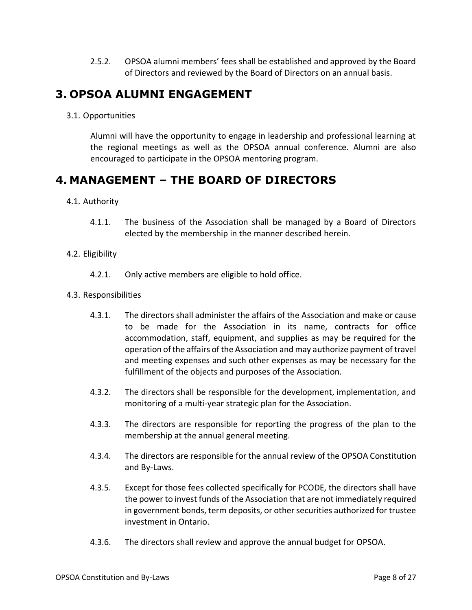2.5.2. OPSOA alumni members' fees shall be established and approved by the Board of Directors and reviewed by the Board of Directors on an annual basis.

## <span id="page-8-0"></span>**3. OPSOA ALUMNI ENGAGEMENT**

<span id="page-8-1"></span>3.1. Opportunities

Alumni will have the opportunity to engage in leadership and professional learning at the regional meetings as well as the OPSOA annual conference. Alumni are also encouraged to participate in the OPSOA mentoring program.

## <span id="page-8-2"></span>**4. MANAGEMENT – THE BOARD OF DIRECTORS**

- <span id="page-8-3"></span>4.1. Authority
	- 4.1.1. The business of the Association shall be managed by a Board of Directors elected by the membership in the manner described herein.
- <span id="page-8-4"></span>4.2. Eligibility
	- 4.2.1. Only active members are eligible to hold office.
- <span id="page-8-5"></span>4.3. Responsibilities
	- 4.3.1. The directors shall administer the affairs of the Association and make or cause to be made for the Association in its name, contracts for office accommodation, staff, equipment, and supplies as may be required for the operation of the affairs of the Association and may authorize payment of travel and meeting expenses and such other expenses as may be necessary for the fulfillment of the objects and purposes of the Association.
	- 4.3.2. The directors shall be responsible for the development, implementation, and monitoring of a multi-year strategic plan for the Association.
	- 4.3.3. The directors are responsible for reporting the progress of the plan to the membership at the annual general meeting.
	- 4.3.4. The directors are responsible for the annual review of the OPSOA Constitution and By-Laws.
	- 4.3.5. Except for those fees collected specifically for PCODE, the directors shall have the power to invest funds of the Association that are not immediately required in government bonds, term deposits, or other securities authorized for trustee investment in Ontario.
	- 4.3.6. The directors shall review and approve the annual budget for OPSOA.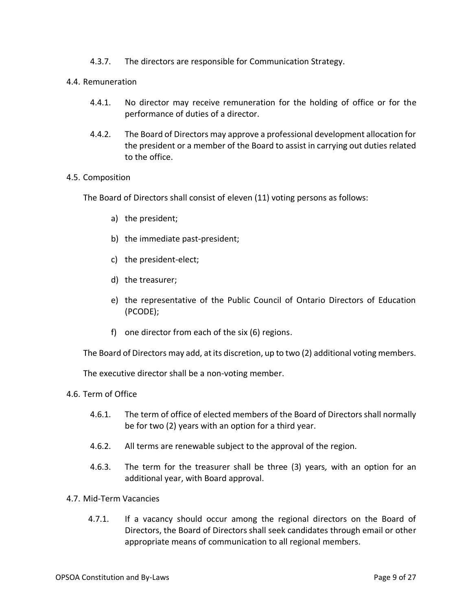4.3.7. The directors are responsible for Communication Strategy.

#### <span id="page-9-0"></span>4.4. Remuneration

- 4.4.1. No director may receive remuneration for the holding of office or for the performance of duties of a director.
- 4.4.2. The Board of Directors may approve a professional development allocation for the president or a member of the Board to assist in carrying out duties related to the office.

#### <span id="page-9-1"></span>4.5. Composition

The Board of Directors shall consist of eleven (11) voting persons as follows:

- a) the president;
- b) the immediate past-president;
- c) the president-elect;
- d) the treasurer;
- e) the representative of the Public Council of Ontario Directors of Education (PCODE);
- f) one director from each of the six (6) regions.

The Board of Directors may add, at its discretion, up to two (2) additional voting members.

The executive director shall be a non-voting member.

- <span id="page-9-2"></span>4.6. Term of Office
	- 4.6.1. The term of office of elected members of the Board of Directors shall normally be for two (2) years with an option for a third year.
	- 4.6.2. All terms are renewable subject to the approval of the region.
	- 4.6.3. The term for the treasurer shall be three (3) years*,* with an option for an additional year, with Board approval.
- <span id="page-9-3"></span>4.7. Mid-Term Vacancies
	- 4.7.1. If a vacancy should occur among the regional directors on the Board of Directors, the Board of Directors shall seek candidates through email or other appropriate means of communication to all regional members.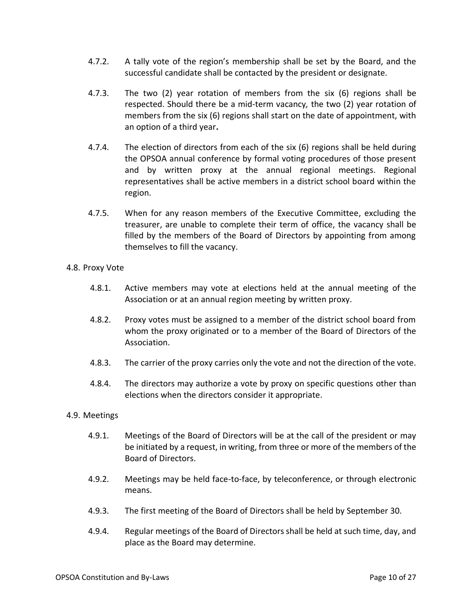- 4.7.2. A tally vote of the region's membership shall be set by the Board, and the successful candidate shall be contacted by the president or designate.
- 4.7.3. The two (2) year rotation of members from the six (6) regions shall be respected. Should there be a mid-term vacancy*,* the two (2) year rotation of members from the six (6) regions shall start on the date of appointment, with an option of a third year**.**
- 4.7.4. The election of directors from each of the six (6) regions shall be held during the OPSOA annual conference by formal voting procedures of those present and by written proxy at the annual regional meetings. Regional representatives shall be active members in a district school board within the region.
- 4.7.5. When for any reason members of the Executive Committee, excluding the treasurer, are unable to complete their term of office, the vacancy shall be filled by the members of the Board of Directors by appointing from among themselves to fill the vacancy.
- <span id="page-10-0"></span>4.8. Proxy Vote
	- 4.8.1. Active members may vote at elections held at the annual meeting of the Association or at an annual region meeting by written proxy.
	- 4.8.2. Proxy votes must be assigned to a member of the district school board from whom the proxy originated or to a member of the Board of Directors of the Association.
	- 4.8.3. The carrier of the proxy carries only the vote and not the direction of the vote.
	- 4.8.4. The directors may authorize a vote by proxy on specific questions other than elections when the directors consider it appropriate.

#### <span id="page-10-1"></span>4.9. Meetings

- 4.9.1. Meetings of the Board of Directors will be at the call of the president or may be initiated by a request, in writing, from three or more of the members of the Board of Directors.
- 4.9.2. Meetings may be held face-to-face, by teleconference, or through electronic means.
- 4.9.3. The first meeting of the Board of Directors shall be held by September 30.
- 4.9.4. Regular meetings of the Board of Directors shall be held at such time, day, and place as the Board may determine.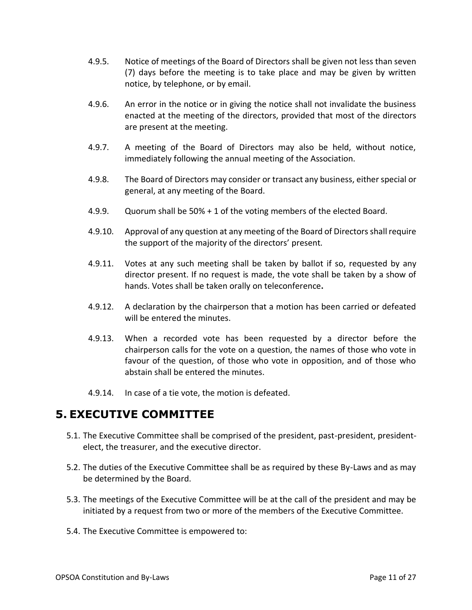- 4.9.5. Notice of meetings of the Board of Directors shall be given not less than seven (7) days before the meeting is to take place and may be given by written notice, by telephone, or by email.
- 4.9.6. An error in the notice or in giving the notice shall not invalidate the business enacted at the meeting of the directors, provided that most of the directors are present at the meeting.
- 4.9.7. A meeting of the Board of Directors may also be held, without notice, immediately following the annual meeting of the Association.
- 4.9.8. The Board of Directors may consider or transact any business, either special or general, at any meeting of the Board.
- 4.9.9. Quorum shall be 50% + 1 of the voting members of the elected Board.
- 4.9.10. Approval of any question at any meeting of the Board of Directors shall require the support of the majority of the directors' present.
- 4.9.11. Votes at any such meeting shall be taken by ballot if so, requested by any director present. If no request is made, the vote shall be taken by a show of hands. Votes shall be taken orally on teleconference**.**
- 4.9.12. A declaration by the chairperson that a motion has been carried or defeated will be entered the minutes.
- 4.9.13. When a recorded vote has been requested by a director before the chairperson calls for the vote on a question, the names of those who vote in favour of the question, of those who vote in opposition, and of those who abstain shall be entered the minutes.
- 4.9.14. In case of a tie vote, the motion is defeated.

## <span id="page-11-0"></span>**5. EXECUTIVE COMMITTEE**

- 5.1. The Executive Committee shall be comprised of the president, past-president, presidentelect, the treasurer, and the executive director.
- 5.2. The duties of the Executive Committee shall be as required by these By-Laws and as may be determined by the Board.
- 5.3. The meetings of the Executive Committee will be at the call of the president and may be initiated by a request from two or more of the members of the Executive Committee.
- 5.4. The Executive Committee is empowered to: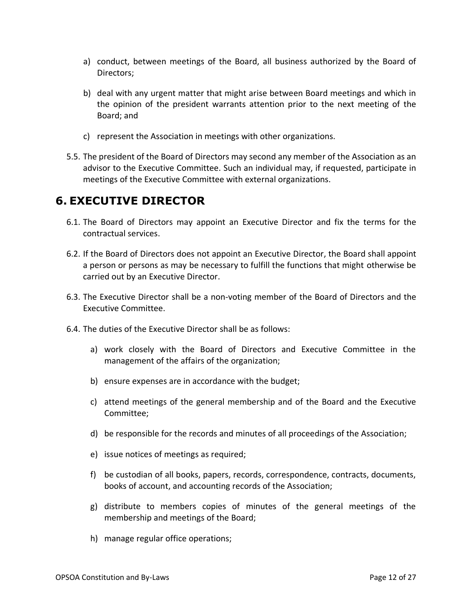- a) conduct, between meetings of the Board, all business authorized by the Board of Directors;
- b) deal with any urgent matter that might arise between Board meetings and which in the opinion of the president warrants attention prior to the next meeting of the Board; and
- c) represent the Association in meetings with other organizations.
- 5.5. The president of the Board of Directors may second any member of the Association as an advisor to the Executive Committee. Such an individual may, if requested, participate in meetings of the Executive Committee with external organizations.

## <span id="page-12-0"></span>**6. EXECUTIVE DIRECTOR**

- 6.1. The Board of Directors may appoint an Executive Director and fix the terms for the contractual services.
- 6.2. If the Board of Directors does not appoint an Executive Director, the Board shall appoint a person or persons as may be necessary to fulfill the functions that might otherwise be carried out by an Executive Director.
- 6.3. The Executive Director shall be a non-voting member of the Board of Directors and the Executive Committee.
- 6.4. The duties of the Executive Director shall be as follows:
	- a) work closely with the Board of Directors and Executive Committee in the management of the affairs of the organization;
	- b) ensure expenses are in accordance with the budget;
	- c) attend meetings of the general membership and of the Board and the Executive Committee;
	- d) be responsible for the records and minutes of all proceedings of the Association;
	- e) issue notices of meetings as required;
	- f) be custodian of all books, papers, records, correspondence, contracts, documents, books of account, and accounting records of the Association;
	- g) distribute to members copies of minutes of the general meetings of the membership and meetings of the Board;
	- h) manage regular office operations;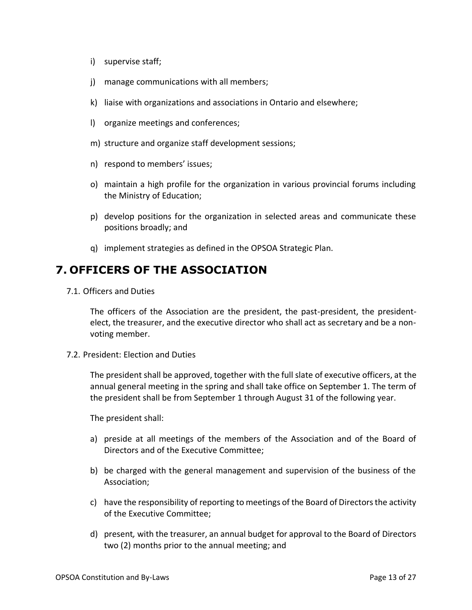- i) supervise staff;
- j) manage communications with all members;
- k) liaise with organizations and associations in Ontario and elsewhere;
- l) organize meetings and conferences;
- m) structure and organize staff development sessions;
- n) respond to members' issues;
- o) maintain a high profile for the organization in various provincial forums including the Ministry of Education;
- p) develop positions for the organization in selected areas and communicate these positions broadly; and
- q) implement strategies as defined in the OPSOA Strategic Plan.

## <span id="page-13-0"></span>**7. OFFICERS OF THE ASSOCIATION**

<span id="page-13-1"></span>7.1. Officers and Duties

The officers of the Association are the president, the past-president, the presidentelect, the treasurer, and the executive director who shall act as secretary and be a nonvoting member.

<span id="page-13-2"></span>7.2. President: Election and Duties

The president shall be approved, together with the full slate of executive officers, at the annual general meeting in the spring and shall take office on September 1. The term of the president shall be from September 1 through August 31 of the following year.

The president shall:

- a) preside at all meetings of the members of the Association and of the Board of Directors and of the Executive Committee;
- b) be charged with the general management and supervision of the business of the Association;
- c) have the responsibility of reporting to meetings of the Board of Directors the activity of the Executive Committee;
- d) present*,* with the treasurer, an annual budget for approval to the Board of Directors two (2) months prior to the annual meeting; and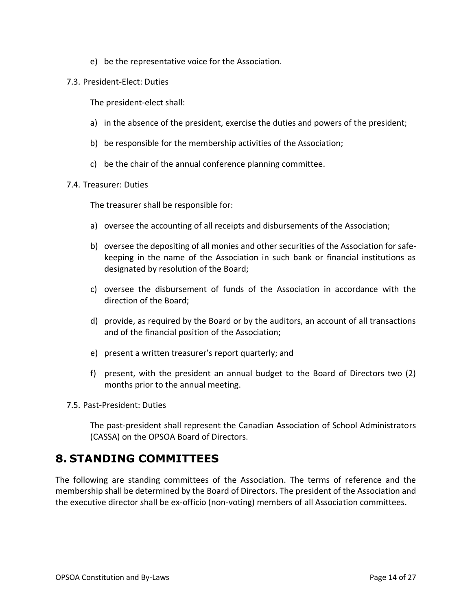- e) be the representative voice for the Association.
- <span id="page-14-0"></span>7.3. President-Elect: Duties

The president-elect shall:

- a) in the absence of the president, exercise the duties and powers of the president;
- b) be responsible for the membership activities of the Association;
- c) be the chair of the annual conference planning committee.

#### <span id="page-14-1"></span>7.4. Treasurer: Duties

The treasurer shall be responsible for:

- a) oversee the accounting of all receipts and disbursements of the Association;
- b) oversee the depositing of all monies and other securities of the Association for safekeeping in the name of the Association in such bank or financial institutions as designated by resolution of the Board;
- c) oversee the disbursement of funds of the Association in accordance with the direction of the Board;
- d) provide, as required by the Board or by the auditors, an account of all transactions and of the financial position of the Association;
- e) present a written treasurer's report quarterly; and
- f) present, with the president an annual budget to the Board of Directors two (2) months prior to the annual meeting.
- <span id="page-14-2"></span>7.5. Past-President: Duties

The past-president shall represent the Canadian Association of School Administrators (CASSA) on the OPSOA Board of Directors.

## <span id="page-14-3"></span>**8. STANDING COMMITTEES**

The following are standing committees of the Association. The terms of reference and the membership shall be determined by the Board of Directors. The president of the Association and the executive director shall be ex-officio (non-voting) members of all Association committees.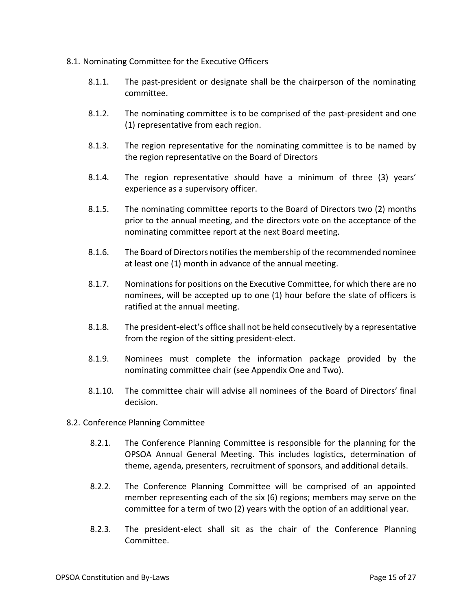- <span id="page-15-0"></span>8.1. Nominating Committee for the Executive Officers
	- 8.1.1. The past-president or designate shall be the chairperson of the nominating committee.
	- 8.1.2. The nominating committee is to be comprised of the past-president and one (1) representative from each region.
	- 8.1.3. The region representative for the nominating committee is to be named by the region representative on the Board of Directors
	- 8.1.4. The region representative should have a minimum of three (3) years' experience as a supervisory officer.
	- 8.1.5. The nominating committee reports to the Board of Directors two (2) months prior to the annual meeting, and the directors vote on the acceptance of the nominating committee report at the next Board meeting.
	- 8.1.6. The Board of Directors notifies the membership of the recommended nominee at least one (1) month in advance of the annual meeting.
	- 8.1.7. Nominations for positions on the Executive Committee, for which there are no nominees, will be accepted up to one (1) hour before the slate of officers is ratified at the annual meeting.
	- 8.1.8. The president-elect's office shall not be held consecutively by a representative from the region of the sitting president-elect.
	- 8.1.9. Nominees must complete the information package provided by the nominating committee chair (see Appendix One and Two).
	- 8.1.10. The committee chair will advise all nominees of the Board of Directors' final decision.
- <span id="page-15-1"></span>8.2. Conference Planning Committee
	- 8.2.1. The Conference Planning Committee is responsible for the planning for the OPSOA Annual General Meeting. This includes logistics, determination of theme, agenda, presenters, recruitment of sponsors, and additional details.
	- 8.2.2. The Conference Planning Committee will be comprised of an appointed member representing each of the six (6) regions; members may serve on the committee for a term of two (2) years with the option of an additional year.
	- 8.2.3. The president-elect shall sit as the chair of the Conference Planning Committee.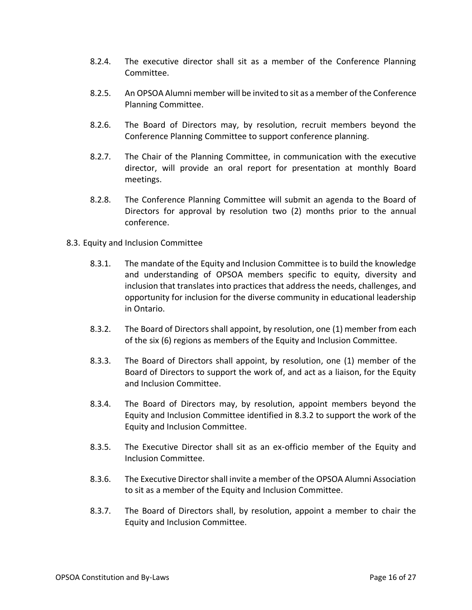- 8.2.4. The executive director shall sit as a member of the Conference Planning Committee.
- 8.2.5. An OPSOA Alumni member will be invited to sit as a member of the Conference Planning Committee.
- 8.2.6. The Board of Directors may, by resolution, recruit members beyond the Conference Planning Committee to support conference planning.
- 8.2.7. The Chair of the Planning Committee, in communication with the executive director, will provide an oral report for presentation at monthly Board meetings.
- 8.2.8. The Conference Planning Committee will submit an agenda to the Board of Directors for approval by resolution two (2) months prior to the annual conference.
- <span id="page-16-0"></span>8.3. Equity and Inclusion Committee
	- 8.3.1. The mandate of the Equity and Inclusion Committee is to build the knowledge and understanding of OPSOA members specific to equity, diversity and inclusion that translates into practices that address the needs, challenges, and opportunity for inclusion for the diverse community in educational leadership in Ontario.
	- 8.3.2. The Board of Directors shall appoint, by resolution, one (1) member from each of the six (6) regions as members of the Equity and Inclusion Committee.
	- 8.3.3. The Board of Directors shall appoint, by resolution, one (1) member of the Board of Directors to support the work of, and act as a liaison, for the Equity and Inclusion Committee.
	- 8.3.4. The Board of Directors may, by resolution, appoint members beyond the Equity and Inclusion Committee identified in 8.3.2 to support the work of the Equity and Inclusion Committee.
	- 8.3.5. The Executive Director shall sit as an ex-officio member of the Equity and Inclusion Committee.
	- 8.3.6. The Executive Director shall invite a member of the OPSOA Alumni Association to sit as a member of the Equity and Inclusion Committee.
	- 8.3.7. The Board of Directors shall, by resolution, appoint a member to chair the Equity and Inclusion Committee.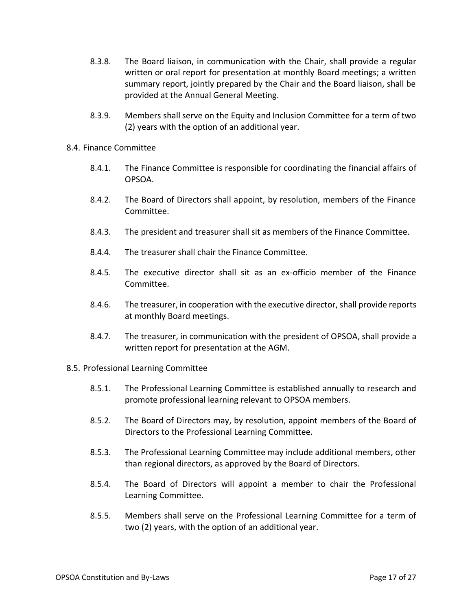- 8.3.8. The Board liaison, in communication with the Chair, shall provide a regular written or oral report for presentation at monthly Board meetings; a written summary report, jointly prepared by the Chair and the Board liaison, shall be provided at the Annual General Meeting.
- 8.3.9. Members shall serve on the Equity and Inclusion Committee for a term of two (2) years with the option of an additional year.
- <span id="page-17-0"></span>8.4. Finance Committee
	- 8.4.1. The Finance Committee is responsible for coordinating the financial affairs of OPSOA.
	- 8.4.2. The Board of Directors shall appoint, by resolution, members of the Finance Committee.
	- 8.4.3. The president and treasurer shall sit as members of the Finance Committee.
	- 8.4.4. The treasurer shall chair the Finance Committee.
	- 8.4.5. The executive director shall sit as an ex-officio member of the Finance Committee.
	- 8.4.6. The treasurer, in cooperation with the executive director, shall provide reports at monthly Board meetings.
	- 8.4.7. The treasurer, in communication with the president of OPSOA, shall provide a written report for presentation at the AGM.
- <span id="page-17-1"></span>8.5. Professional Learning Committee
	- 8.5.1. The Professional Learning Committee is established annually to research and promote professional learning relevant to OPSOA members.
	- 8.5.2. The Board of Directors may, by resolution, appoint members of the Board of Directors to the Professional Learning Committee.
	- 8.5.3. The Professional Learning Committee may include additional members, other than regional directors, as approved by the Board of Directors.
	- 8.5.4. The Board of Directors will appoint a member to chair the Professional Learning Committee.
	- 8.5.5. Members shall serve on the Professional Learning Committee for a term of two (2) years, with the option of an additional year.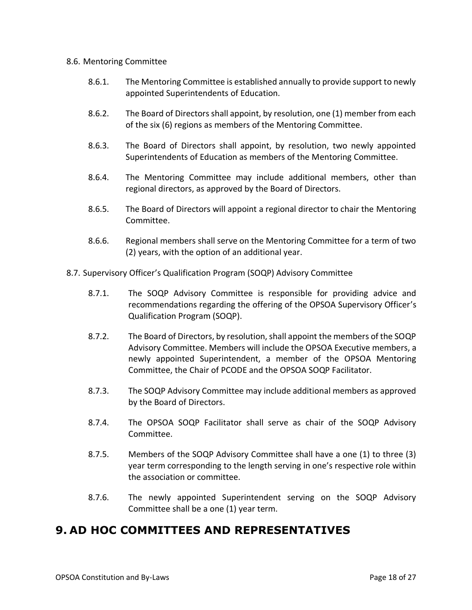#### <span id="page-18-0"></span>8.6. Mentoring Committee

- 8.6.1. The Mentoring Committee is established annually to provide support to newly appointed Superintendents of Education.
- 8.6.2. The Board of Directors shall appoint, by resolution, one (1) member from each of the six (6) regions as members of the Mentoring Committee.
- 8.6.3. The Board of Directors shall appoint, by resolution, two newly appointed Superintendents of Education as members of the Mentoring Committee.
- 8.6.4. The Mentoring Committee may include additional members, other than regional directors, as approved by the Board of Directors.
- 8.6.5. The Board of Directors will appoint a regional director to chair the Mentoring Committee.
- 8.6.6. Regional members shall serve on the Mentoring Committee for a term of two (2) years, with the option of an additional year.
- <span id="page-18-1"></span>8.7. Supervisory Officer's Qualification Program (SOQP) Advisory Committee
	- 8.7.1. The SOQP Advisory Committee is responsible for providing advice and recommendations regarding the offering of the OPSOA Supervisory Officer's Qualification Program (SOQP).
	- 8.7.2. The Board of Directors, by resolution, shall appoint the members of the SOQP Advisory Committee. Members will include the OPSOA Executive members, a newly appointed Superintendent, a member of the OPSOA Mentoring Committee, the Chair of PCODE and the OPSOA SOQP Facilitator.
	- 8.7.3. The SOQP Advisory Committee may include additional members as approved by the Board of Directors.
	- 8.7.4. The OPSOA SOQP Facilitator shall serve as chair of the SOQP Advisory Committee.
	- 8.7.5. Members of the SOQP Advisory Committee shall have a one (1) to three (3) year term corresponding to the length serving in one's respective role within the association or committee.
	- 8.7.6. The newly appointed Superintendent serving on the SOQP Advisory Committee shall be a one (1) year term.

## <span id="page-18-2"></span>**9. AD HOC COMMITTEES AND REPRESENTATIVES**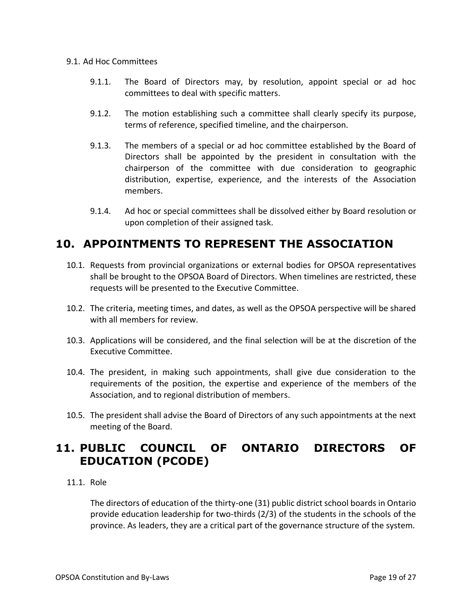#### <span id="page-19-0"></span>9.1. Ad Hoc Committees

- 9.1.1. The Board of Directors may, by resolution, appoint special or ad hoc committees to deal with specific matters.
- 9.1.2. The motion establishing such a committee shall clearly specify its purpose, terms of reference, specified timeline, and the chairperson.
- 9.1.3. The members of a special or ad hoc committee established by the Board of Directors shall be appointed by the president in consultation with the chairperson of the committee with due consideration to geographic distribution, expertise, experience, and the interests of the Association members.
- 9.1.4. Ad hoc or special committees shall be dissolved either by Board resolution or upon completion of their assigned task.

## <span id="page-19-1"></span>**10. APPOINTMENTS TO REPRESENT THE ASSOCIATION**

- 10.1. Requests from provincial organizations or external bodies for OPSOA representatives shall be brought to the OPSOA Board of Directors. When timelines are restricted, these requests will be presented to the Executive Committee.
- 10.2. The criteria, meeting times, and dates, as well as the OPSOA perspective will be shared with all members for review.
- 10.3. Applications will be considered, and the final selection will be at the discretion of the Executive Committee.
- 10.4. The president, in making such appointments, shall give due consideration to the requirements of the position, the expertise and experience of the members of the Association, and to regional distribution of members.
- 10.5. The president shall advise the Board of Directors of any such appointments at the next meeting of the Board.

## <span id="page-19-2"></span>**11. PUBLIC COUNCIL OF ONTARIO DIRECTORS OF EDUCATION (PCODE)**

#### <span id="page-19-3"></span>11.1. Role

The directors of education of the thirty-one (31) public district school boards in Ontario provide education leadership for two-thirds (2/3) of the students in the schools of the province. As leaders, they are a critical part of the governance structure of the system.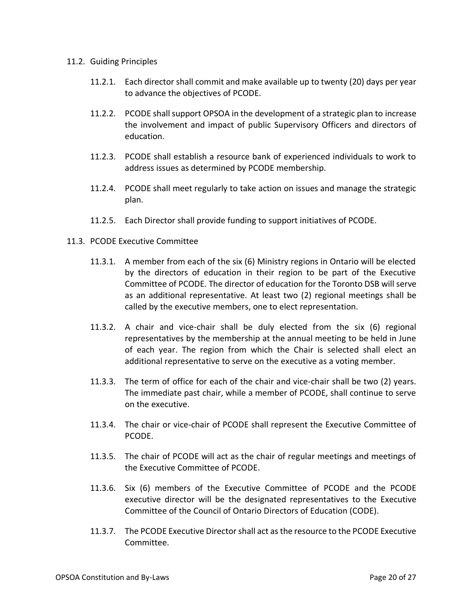#### <span id="page-20-0"></span>11.2. Guiding Principles

- 11.2.1. Each director shall commit and make available up to twenty (20) days per year to advance the objectives of PCODE.
- 11.2.2. PCODE shall support OPSOA in the development of a strategic plan to increase the involvement and impact of public Supervisory Officers and directors of education.
- 11.2.3. PCODE shall establish a resource bank of experienced individuals to work to address issues as determined by PCODE membership.
- 11.2.4. PCODE shall meet regularly to take action on issues and manage the strategic plan.
- 11.2.5. Each Director shall provide funding to support initiatives of PCODE.
- <span id="page-20-1"></span>11.3. PCODE Executive Committee
	- 11.3.1. A member from each of the six (6) Ministry regions in Ontario will be elected by the directors of education in their region to be part of the Executive Committee of PCODE. The director of education for the Toronto DSB will serve as an additional representative. At least two (2) regional meetings shall be called by the executive members, one to elect representation.
	- 11.3.2. A chair and vice-chair shall be duly elected from the six (6) regional representatives by the membership at the annual meeting to be held in June of each year. The region from which the Chair is selected shall elect an additional representative to serve on the executive as a voting member.
	- 11.3.3. The term of office for each of the chair and vice-chair shall be two (2) years. The immediate past chair, while a member of PCODE, shall continue to serve on the executive.
	- 11.3.4. The chair or vice-chair of PCODE shall represent the Executive Committee of PCODE.
	- 11.3.5. The chair of PCODE will act as the chair of regular meetings and meetings of the Executive Committee of PCODE.
	- 11.3.6. Six (6) members of the Executive Committee of PCODE and the PCODE executive director will be the designated representatives to the Executive Committee of the Council of Ontario Directors of Education (CODE).
	- 11.3.7. The PCODE Executive Director shall act as the resource to the PCODE Executive Committee.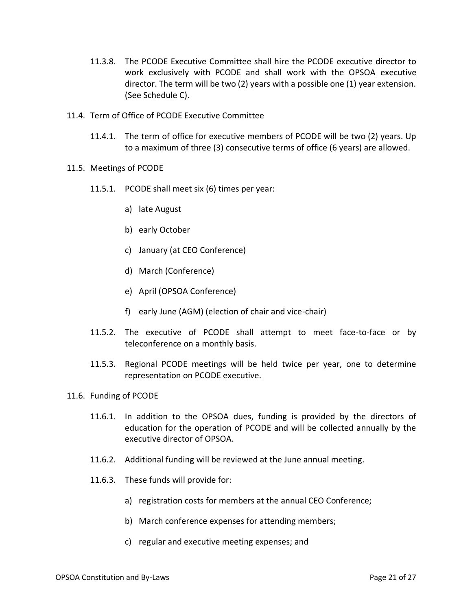- 11.3.8. The PCODE Executive Committee shall hire the PCODE executive director to work exclusively with PCODE and shall work with the OPSOA executive director. The term will be two (2) years with a possible one (1) year extension. (See Schedule C).
- <span id="page-21-0"></span>11.4. Term of Office of PCODE Executive Committee
	- 11.4.1. The term of office for executive members of PCODE will be two (2) years. Up to a maximum of three (3) consecutive terms of office (6 years) are allowed.
- <span id="page-21-1"></span>11.5. Meetings of PCODE
	- 11.5.1. PCODE shall meet six (6) times per year:
		- a) late August
		- b) early October
		- c) January (at CEO Conference)
		- d) March (Conference)
		- e) April (OPSOA Conference)
		- f) early June (AGM) (election of chair and vice-chair)
	- 11.5.2. The executive of PCODE shall attempt to meet face-to-face or by teleconference on a monthly basis.
	- 11.5.3. Regional PCODE meetings will be held twice per year, one to determine representation on PCODE executive.
- <span id="page-21-2"></span>11.6. Funding of PCODE
	- 11.6.1. In addition to the OPSOA dues, funding is provided by the directors of education for the operation of PCODE and will be collected annually by the executive director of OPSOA.
	- 11.6.2. Additional funding will be reviewed at the June annual meeting.
	- 11.6.3. These funds will provide for:
		- a) registration costs for members at the annual CEO Conference;
		- b) March conference expenses for attending members;
		- c) regular and executive meeting expenses; and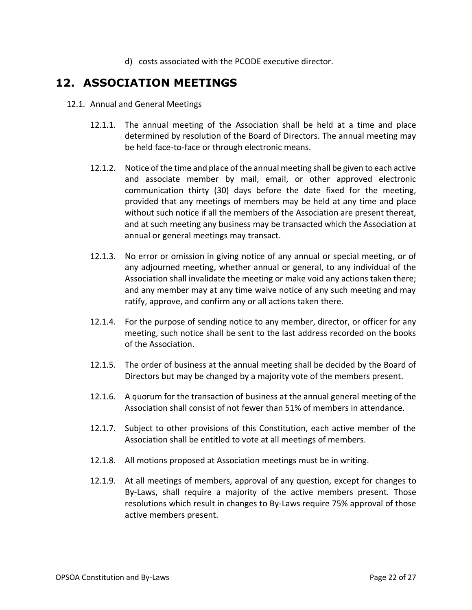d) costs associated with the PCODE executive director.

### <span id="page-22-0"></span>**12. ASSOCIATION MEETINGS**

- <span id="page-22-1"></span>12.1. Annual and General Meetings
	- 12.1.1. The annual meeting of the Association shall be held at a time and place determined by resolution of the Board of Directors. The annual meeting may be held face-to-face or through electronic means.
	- 12.1.2. Notice of the time and place of the annual meeting shall be given to each active and associate member by mail, email, or other approved electronic communication thirty (30) days before the date fixed for the meeting, provided that any meetings of members may be held at any time and place without such notice if all the members of the Association are present thereat, and at such meeting any business may be transacted which the Association at annual or general meetings may transact.
	- 12.1.3. No error or omission in giving notice of any annual or special meeting, or of any adjourned meeting, whether annual or general, to any individual of the Association shall invalidate the meeting or make void any actions taken there; and any member may at any time waive notice of any such meeting and may ratify, approve, and confirm any or all actions taken there.
	- 12.1.4. For the purpose of sending notice to any member, director, or officer for any meeting, such notice shall be sent to the last address recorded on the books of the Association.
	- 12.1.5. The order of business at the annual meeting shall be decided by the Board of Directors but may be changed by a majority vote of the members present.
	- 12.1.6. A quorum for the transaction of business at the annual general meeting of the Association shall consist of not fewer than 51% of members in attendance.
	- 12.1.7. Subject to other provisions of this Constitution, each active member of the Association shall be entitled to vote at all meetings of members.
	- 12.1.8. All motions proposed at Association meetings must be in writing.
	- 12.1.9. At all meetings of members, approval of any question, except for changes to By-Laws, shall require a majority of the active members present. Those resolutions which result in changes to By-Laws require 75% approval of those active members present.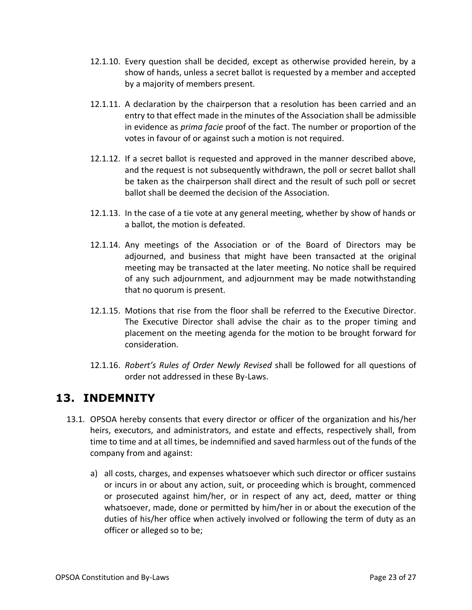- 12.1.10. Every question shall be decided, except as otherwise provided herein, by a show of hands, unless a secret ballot is requested by a member and accepted by a majority of members present.
- 12.1.11. A declaration by the chairperson that a resolution has been carried and an entry to that effect made in the minutes of the Association shall be admissible in evidence as *prima facie* proof of the fact. The number or proportion of the votes in favour of or against such a motion is not required.
- 12.1.12. If a secret ballot is requested and approved in the manner described above, and the request is not subsequently withdrawn, the poll or secret ballot shall be taken as the chairperson shall direct and the result of such poll or secret ballot shall be deemed the decision of the Association.
- 12.1.13. In the case of a tie vote at any general meeting, whether by show of hands or a ballot, the motion is defeated.
- 12.1.14. Any meetings of the Association or of the Board of Directors may be adjourned, and business that might have been transacted at the original meeting may be transacted at the later meeting. No notice shall be required of any such adjournment, and adjournment may be made notwithstanding that no quorum is present.
- 12.1.15. Motions that rise from the floor shall be referred to the Executive Director. The Executive Director shall advise the chair as to the proper timing and placement on the meeting agenda for the motion to be brought forward for consideration.
- 12.1.16. *Robert's Rules of Order Newly Revised* shall be followed for all questions of order not addressed in these By-Laws.

## <span id="page-23-0"></span>**13. INDEMNITY**

- 13.1. OPSOA hereby consents that every director or officer of the organization and his/her heirs, executors, and administrators, and estate and effects, respectively shall, from time to time and at all times, be indemnified and saved harmless out of the funds of the company from and against:
	- a) all costs, charges, and expenses whatsoever which such director or officer sustains or incurs in or about any action, suit, or proceeding which is brought, commenced or prosecuted against him/her, or in respect of any act, deed, matter or thing whatsoever, made, done or permitted by him/her in or about the execution of the duties of his/her office when actively involved or following the term of duty as an officer or alleged so to be;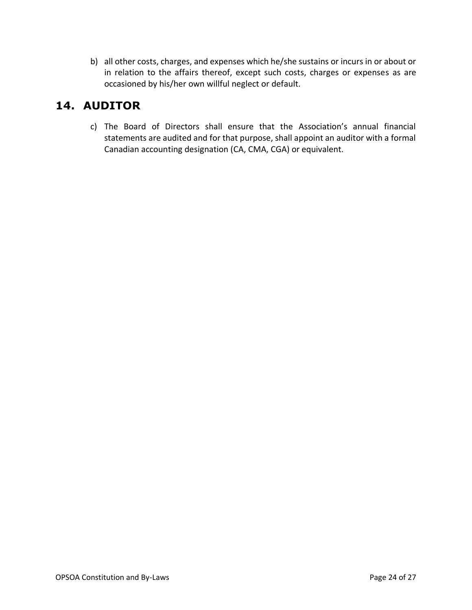b) all other costs, charges, and expenses which he/she sustains or incurs in or about or in relation to the affairs thereof, except such costs, charges or expenses as are occasioned by his/her own willful neglect or default.

## <span id="page-24-0"></span>**14. AUDITOR**

c) The Board of Directors shall ensure that the Association's annual financial statements are audited and for that purpose, shall appoint an auditor with a formal Canadian accounting designation (CA, CMA, CGA) or equivalent.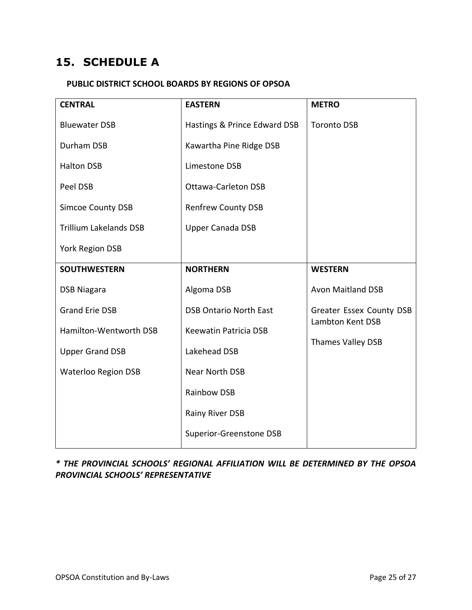## <span id="page-25-0"></span>**15. SCHEDULE A**

#### <span id="page-25-1"></span>**PUBLIC DISTRICT SCHOOL BOARDS BY REGIONS OF OPSOA**

| <b>CENTRAL</b>                | <b>EASTERN</b>                | <b>METRO</b>                          |
|-------------------------------|-------------------------------|---------------------------------------|
| <b>Bluewater DSB</b>          | Hastings & Prince Edward DSB  | <b>Toronto DSB</b>                    |
| Durham DSB                    | Kawartha Pine Ridge DSB       |                                       |
| <b>Halton DSB</b>             | Limestone DSB                 |                                       |
| Peel DSB                      | <b>Ottawa-Carleton DSB</b>    |                                       |
| <b>Simcoe County DSB</b>      | <b>Renfrew County DSB</b>     |                                       |
| <b>Trillium Lakelands DSB</b> | <b>Upper Canada DSB</b>       |                                       |
| York Region DSB               |                               |                                       |
| <b>SOUTHWESTERN</b>           | <b>NORTHERN</b>               | <b>WESTERN</b>                        |
| <b>DSB Niagara</b>            | Algoma DSB                    | <b>Avon Maitland DSB</b>              |
| <b>Grand Erie DSB</b>         | <b>DSB Ontario North East</b> | Greater Essex County DSB              |
| Hamilton-Wentworth DSB        | Keewatin Patricia DSB         | Lambton Kent DSB<br>Thames Valley DSB |
| <b>Upper Grand DSB</b>        | Lakehead DSB                  |                                       |
| <b>Waterloo Region DSB</b>    | Near North DSB                |                                       |
|                               | Rainbow DSB                   |                                       |
|                               | Rainy River DSB               |                                       |
|                               | Superior-Greenstone DSB       |                                       |

*\* THE PROVINCIAL SCHOOLS' REGIONAL AFFILIATION WILL BE DETERMINED BY THE OPSOA PROVINCIAL SCHOOLS' REPRESENTATIVE*